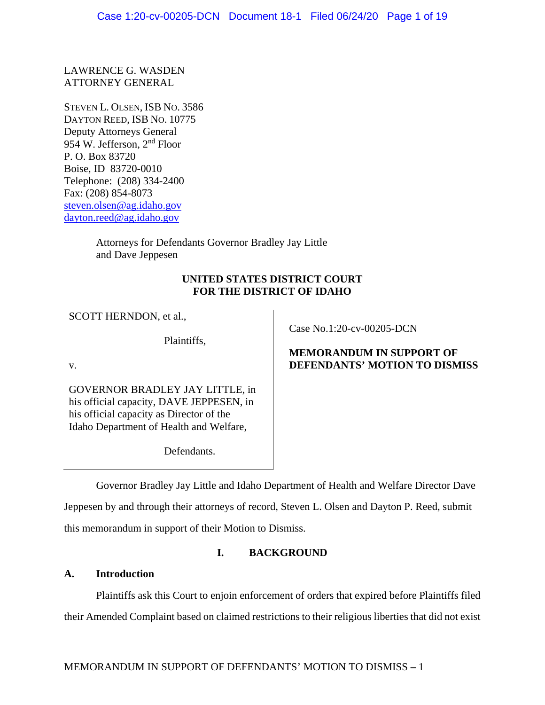LAWRENCE G. WASDEN ATTORNEY GENERAL

STEVEN L. OLSEN, ISB NO. 3586 DAYTON REED, ISB NO. 10775 Deputy Attorneys General 954 W. Jefferson, 2nd Floor P. O. Box 83720 Boise, ID 83720-0010 Telephone: (208) 334-2400 Fax: (208) 854-8073 steven.olsen@ag.idaho.gov dayton.reed@ag.idaho.gov

> Attorneys for Defendants Governor Bradley Jay Little and Dave Jeppesen

# **UNITED STATES DISTRICT COURT FOR THE DISTRICT OF IDAHO**

SCOTT HERNDON, et al.,

Plaintiffs,

v.

GOVERNOR BRADLEY JAY LITTLE, in his official capacity, DAVE JEPPESEN, in his official capacity as Director of the Idaho Department of Health and Welfare,

Defendants.

Case No.1:20-cv-00205-DCN

# **MEMORANDUM IN SUPPORT OF DEFENDANTS' MOTION TO DISMISS**

Governor Bradley Jay Little and Idaho Department of Health and Welfare Director Dave Jeppesen by and through their attorneys of record, Steven L. Olsen and Dayton P. Reed, submit this memorandum in support of their Motion to Dismiss.

# **I. BACKGROUND**

# **A. Introduction**

Plaintiffs ask this Court to enjoin enforcement of orders that expired before Plaintiffs filed their Amended Complaint based on claimed restrictions to their religious liberties that did not exist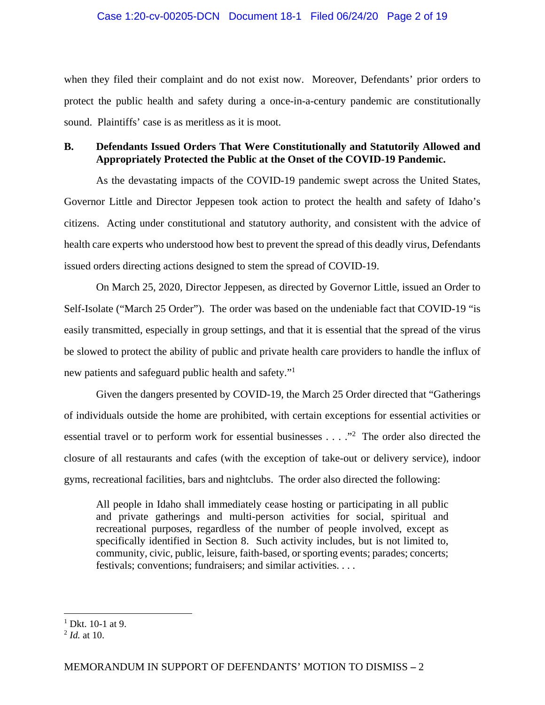## Case 1:20-cv-00205-DCN Document 18-1 Filed 06/24/20 Page 2 of 19

when they filed their complaint and do not exist now. Moreover, Defendants' prior orders to protect the public health and safety during a once-in-a-century pandemic are constitutionally sound. Plaintiffs' case is as meritless as it is moot.

# **B. Defendants Issued Orders That Were Constitutionally and Statutorily Allowed and Appropriately Protected the Public at the Onset of the COVID-19 Pandemic.**

As the devastating impacts of the COVID-19 pandemic swept across the United States, Governor Little and Director Jeppesen took action to protect the health and safety of Idaho's citizens. Acting under constitutional and statutory authority, and consistent with the advice of health care experts who understood how best to prevent the spread of this deadly virus, Defendants issued orders directing actions designed to stem the spread of COVID-19.

On March 25, 2020, Director Jeppesen, as directed by Governor Little, issued an Order to Self-Isolate ("March 25 Order"). The order was based on the undeniable fact that COVID-19 "is easily transmitted, especially in group settings, and that it is essential that the spread of the virus be slowed to protect the ability of public and private health care providers to handle the influx of new patients and safeguard public health and safety."1

Given the dangers presented by COVID-19, the March 25 Order directed that "Gatherings of individuals outside the home are prohibited, with certain exceptions for essential activities or essential travel or to perform work for essential businesses  $\dots$ ."<sup>2</sup> The order also directed the closure of all restaurants and cafes (with the exception of take-out or delivery service), indoor gyms, recreational facilities, bars and nightclubs. The order also directed the following:

All people in Idaho shall immediately cease hosting or participating in all public and private gatherings and multi-person activities for social, spiritual and recreational purposes, regardless of the number of people involved, except as specifically identified in Section 8. Such activity includes, but is not limited to, community, civic, public, leisure, faith-based, or sporting events; parades; concerts; festivals; conventions; fundraisers; and similar activities. . . .

 $1$  Dkt. 10-1 at 9.

 $^{2}$  *Id.* at 10.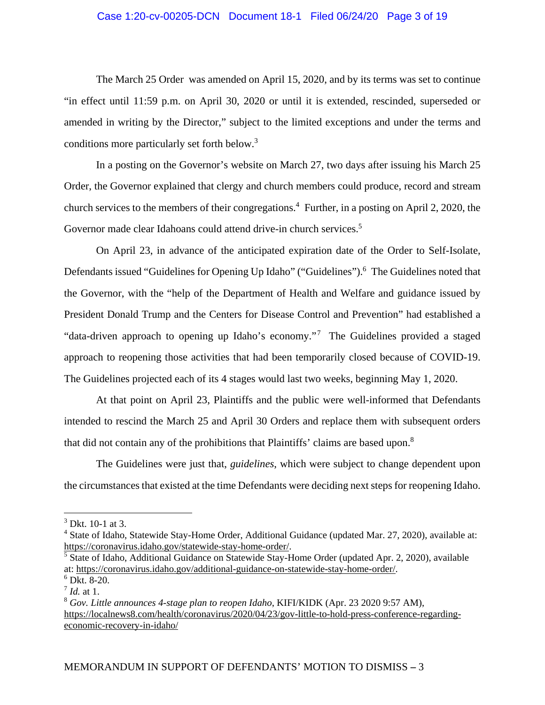## Case 1:20-cv-00205-DCN Document 18-1 Filed 06/24/20 Page 3 of 19

The March 25 Order was amended on April 15, 2020, and by its terms was set to continue "in effect until 11:59 p.m. on April 30, 2020 or until it is extended, rescinded, superseded or amended in writing by the Director," subject to the limited exceptions and under the terms and conditions more particularly set forth below.<sup>3</sup>

In a posting on the Governor's website on March 27, two days after issuing his March 25 Order, the Governor explained that clergy and church members could produce, record and stream church services to the members of their congregations.<sup>4</sup> Further, in a posting on April 2, 2020, the Governor made clear Idahoans could attend drive-in church services.<sup>5</sup>

On April 23, in advance of the anticipated expiration date of the Order to Self-Isolate, Defendants issued "Guidelines for Opening Up Idaho" ("Guidelines").<sup>6</sup> The Guidelines noted that the Governor, with the "help of the Department of Health and Welfare and guidance issued by President Donald Trump and the Centers for Disease Control and Prevention" had established a "data-driven approach to opening up Idaho's economy."7 The Guidelines provided a staged approach to reopening those activities that had been temporarily closed because of COVID-19. The Guidelines projected each of its 4 stages would last two weeks, beginning May 1, 2020.

At that point on April 23, Plaintiffs and the public were well-informed that Defendants intended to rescind the March 25 and April 30 Orders and replace them with subsequent orders that did not contain any of the prohibitions that Plaintiffs' claims are based upon.<sup>8</sup>

The Guidelines were just that, *guidelines*, which were subject to change dependent upon the circumstances that existed at the time Defendants were deciding next steps for reopening Idaho.

 $3$  Dkt. 10-1 at 3.

<sup>&</sup>lt;sup>4</sup> State of Idaho, Statewide Stay-Home Order, Additional Guidance (updated Mar. 27, 2020), available at: https://coronavirus.idaho.gov/statewide-stay-home-order/.

<sup>&</sup>lt;sup>5</sup> State of Idaho, Additional Guidance on Statewide Stay-Home Order (updated Apr. 2, 2020), available at: https://coronavirus.idaho.gov/additional-guidance-on-statewide-stay-home-order/.

<sup>6</sup> Dkt. 8-20.

 $^7$  *Id.* at 1.

<sup>8</sup> *Gov. Little announces 4-stage plan to reopen Idaho*, KIFI/KIDK (Apr. 23 2020 9:57 AM), https://localnews8.com/health/coronavirus/2020/04/23/gov-little-to-hold-press-conference-regardingeconomic-recovery-in-idaho/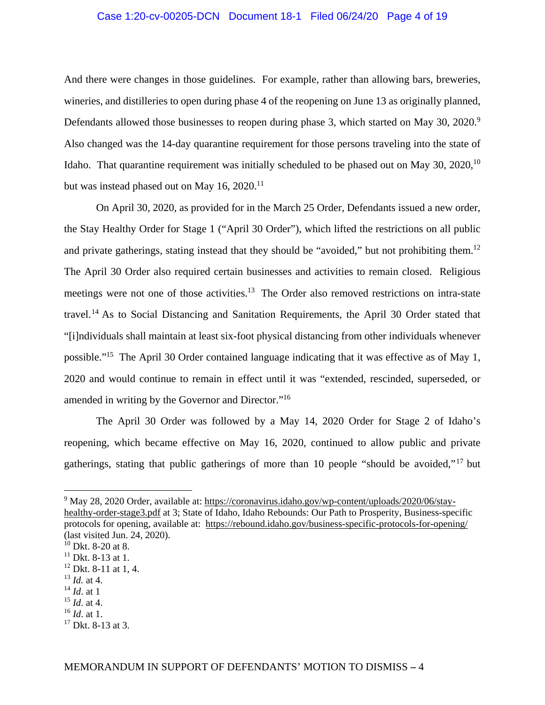## Case 1:20-cv-00205-DCN Document 18-1 Filed 06/24/20 Page 4 of 19

And there were changes in those guidelines. For example, rather than allowing bars, breweries, wineries, and distilleries to open during phase 4 of the reopening on June 13 as originally planned, Defendants allowed those businesses to reopen during phase 3, which started on May 30, 2020.<sup>9</sup> Also changed was the 14-day quarantine requirement for those persons traveling into the state of Idaho. That quarantine requirement was initially scheduled to be phased out on May 30, 2020,  $10$ but was instead phased out on May 16, 2020.<sup>11</sup>

On April 30, 2020, as provided for in the March 25 Order, Defendants issued a new order, the Stay Healthy Order for Stage 1 ("April 30 Order"), which lifted the restrictions on all public and private gatherings, stating instead that they should be "avoided," but not prohibiting them.<sup>12</sup> The April 30 Order also required certain businesses and activities to remain closed. Religious meetings were not one of those activities.<sup>13</sup> The Order also removed restrictions on intra-state travel.14 As to Social Distancing and Sanitation Requirements, the April 30 Order stated that "[i]ndividuals shall maintain at least six-foot physical distancing from other individuals whenever possible."15 The April 30 Order contained language indicating that it was effective as of May 1, 2020 and would continue to remain in effect until it was "extended, rescinded, superseded, or amended in writing by the Governor and Director."16

The April 30 Order was followed by a May 14, 2020 Order for Stage 2 of Idaho's reopening, which became effective on May 16, 2020, continued to allow public and private gatherings, stating that public gatherings of more than 10 people "should be avoided,"17 but

<sup>14</sup> *Id*. at 1

<sup>&</sup>lt;sup>9</sup> May 28, 2020 Order, available at: https://coronavirus.idaho.gov/wp-content/uploads/2020/06/stayhealthy-order-stage3.pdf at 3; State of Idaho, Idaho Rebounds: Our Path to Prosperity, Business-specific protocols for opening, available at: https://rebound.idaho.gov/business-specific-protocols-for-opening/ (last visited Jun. 24, 2020).

 $10$  Dkt. 8-20 at 8.

 $11$  Dkt. 8-13 at 1.

<sup>&</sup>lt;sup>12</sup> Dkt. 8-11 at 1, 4.

<sup>13</sup> *Id.* at 4.

<sup>15</sup> *Id*. at 4.

<sup>16</sup> *Id*. at 1.

 $17$  Dkt. 8-13 at 3.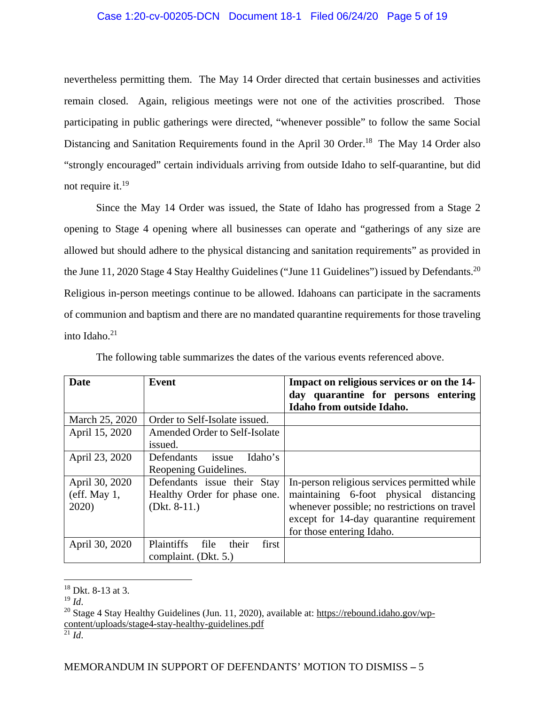## Case 1:20-cv-00205-DCN Document 18-1 Filed 06/24/20 Page 5 of 19

nevertheless permitting them. The May 14 Order directed that certain businesses and activities remain closed. Again, religious meetings were not one of the activities proscribed. Those participating in public gatherings were directed, "whenever possible" to follow the same Social Distancing and Sanitation Requirements found in the April 30 Order.<sup>18</sup> The May 14 Order also "strongly encouraged" certain individuals arriving from outside Idaho to self-quarantine, but did not require it.19

Since the May 14 Order was issued, the State of Idaho has progressed from a Stage 2 opening to Stage 4 opening where all businesses can operate and "gatherings of any size are allowed but should adhere to the physical distancing and sanitation requirements" as provided in the June 11, 2020 Stage 4 Stay Healthy Guidelines ("June 11 Guidelines") issued by Defendants.<sup>20</sup> Religious in-person meetings continue to be allowed. Idahoans can participate in the sacraments of communion and baptism and there are no mandated quarantine requirements for those traveling into Idaho. $21$ 

| <b>Date</b>    | <b>Event</b>                         | Impact on religious services or on the 14-   |
|----------------|--------------------------------------|----------------------------------------------|
|                |                                      | day quarantine for persons entering          |
|                |                                      | Idaho from outside Idaho.                    |
| March 25, 2020 | Order to Self-Isolate issued.        |                                              |
| April 15, 2020 | Amended Order to Self-Isolate        |                                              |
|                | issued.                              |                                              |
| April 23, 2020 | Defendants<br>Idaho's<br>issue       |                                              |
|                | Reopening Guidelines.                |                                              |
| April 30, 2020 | Defendants issue their Stay          | In-person religious services permitted while |
| $(eff.$ May 1, | Healthy Order for phase one.         | maintaining 6-foot physical distancing       |
| 2020)          | (Dkt. $8-11$ .)                      | whenever possible; no restrictions on travel |
|                |                                      | except for 14-day quarantine requirement     |
|                |                                      | for those entering Idaho.                    |
| April 30, 2020 | Plaintiffs<br>first<br>file<br>their |                                              |
|                | complaint. (Dkt. 5.)                 |                                              |

The following table summarizes the dates of the various events referenced above.

 $\overline{a}$ 

<sup>21</sup> *Id*.

<sup>&</sup>lt;sup>18</sup> Dkt. 8-13 at 3.<br><sup>19</sup> Id.

<sup>&</sup>lt;sup>20</sup> Stage 4 Stay Healthy Guidelines (Jun. 11, 2020), available at: https://rebound.idaho.gov/wpcontent/uploads/stage4-stay-healthy-guidelines.pdf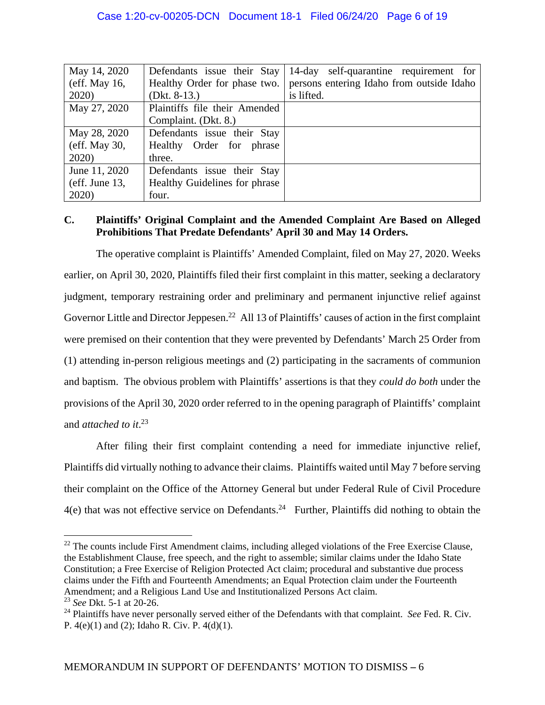| May 14, 2020    | Defendants issue their Stay   | 14-day self-quarantine requirement for    |
|-----------------|-------------------------------|-------------------------------------------|
| $(eff.$ May 16, | Healthy Order for phase two.  | persons entering Idaho from outside Idaho |
| 2020)           | (Dkt. $8-13$ .)               | is lifted.                                |
| May 27, 2020    | Plaintiffs file their Amended |                                           |
|                 | Complaint. (Dkt. 8.)          |                                           |
| May 28, 2020    | Defendants issue their Stay   |                                           |
| $(eff.$ May 30, | Healthy Order for phrase      |                                           |
| 2020)           | three.                        |                                           |
| June 11, 2020   | Defendants issue their Stay   |                                           |
| (eff. June 13,  | Healthy Guidelines for phrase |                                           |
| 2020)           | four.                         |                                           |

# **C. Plaintiffs' Original Complaint and the Amended Complaint Are Based on Alleged Prohibitions That Predate Defendants' April 30 and May 14 Orders.**

The operative complaint is Plaintiffs' Amended Complaint, filed on May 27, 2020. Weeks earlier, on April 30, 2020, Plaintiffs filed their first complaint in this matter, seeking a declaratory judgment, temporary restraining order and preliminary and permanent injunctive relief against Governor Little and Director Jeppesen.<sup>22</sup> All 13 of Plaintiffs' causes of action in the first complaint were premised on their contention that they were prevented by Defendants' March 25 Order from (1) attending in-person religious meetings and (2) participating in the sacraments of communion and baptism. The obvious problem with Plaintiffs' assertions is that they *could do both* under the provisions of the April 30, 2020 order referred to in the opening paragraph of Plaintiffs' complaint and *attached to it*. 23

After filing their first complaint contending a need for immediate injunctive relief, Plaintiffs did virtually nothing to advance their claims. Plaintiffs waited until May 7 before serving their complaint on the Office of the Attorney General but under Federal Rule of Civil Procedure  $4(e)$  that was not effective service on Defendants.<sup>24</sup> Further, Plaintiffs did nothing to obtain the

 $^{22}$  The counts include First Amendment claims, including alleged violations of the Free Exercise Clause, the Establishment Clause, free speech, and the right to assemble; similar claims under the Idaho State Constitution; a Free Exercise of Religion Protected Act claim; procedural and substantive due process claims under the Fifth and Fourteenth Amendments; an Equal Protection claim under the Fourteenth Amendment; and a Religious Land Use and Institutionalized Persons Act claim.

<sup>23</sup> *See* Dkt. 5-1 at 20-26.

<sup>&</sup>lt;sup>24</sup> Plaintiffs have never personally served either of the Defendants with that complaint. *See* Fed. R. Civ. P. 4(e)(1) and (2); Idaho R. Civ. P. 4(d)(1).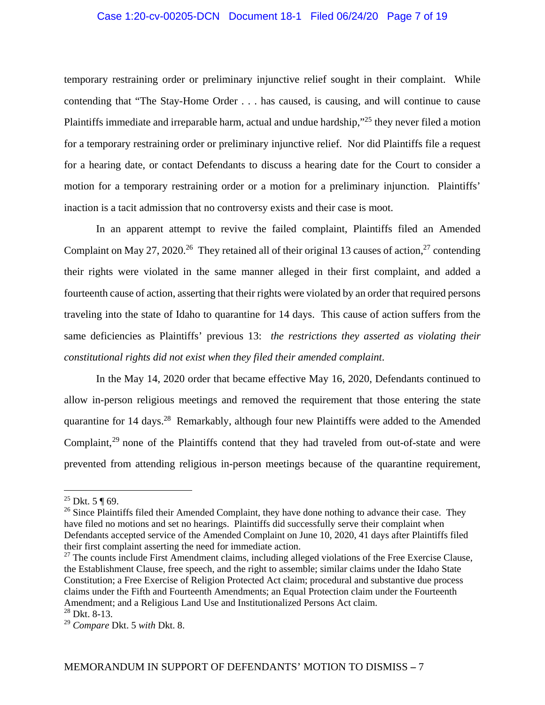## Case 1:20-cv-00205-DCN Document 18-1 Filed 06/24/20 Page 7 of 19

temporary restraining order or preliminary injunctive relief sought in their complaint. While contending that "The Stay-Home Order . . . has caused, is causing, and will continue to cause Plaintiffs immediate and irreparable harm, actual and undue hardship,"25 they never filed a motion for a temporary restraining order or preliminary injunctive relief. Nor did Plaintiffs file a request for a hearing date, or contact Defendants to discuss a hearing date for the Court to consider a motion for a temporary restraining order or a motion for a preliminary injunction. Plaintiffs' inaction is a tacit admission that no controversy exists and their case is moot.

In an apparent attempt to revive the failed complaint, Plaintiffs filed an Amended Complaint on May 27, 2020.<sup>26</sup> They retained all of their original 13 causes of action,<sup>27</sup> contending their rights were violated in the same manner alleged in their first complaint, and added a fourteenth cause of action, asserting that their rights were violated by an order that required persons traveling into the state of Idaho to quarantine for 14 days. This cause of action suffers from the same deficiencies as Plaintiffs' previous 13: *the restrictions they asserted as violating their constitutional rights did not exist when they filed their amended complaint*.

In the May 14, 2020 order that became effective May 16, 2020, Defendants continued to allow in-person religious meetings and removed the requirement that those entering the state quarantine for 14 days.28 Remarkably, although four new Plaintiffs were added to the Amended Complaint,<sup>29</sup> none of the Plaintiffs contend that they had traveled from out-of-state and were prevented from attending religious in-person meetings because of the quarantine requirement,

<sup>&</sup>lt;sup>25</sup> Dkt. 5 ¶ 69.

<sup>&</sup>lt;sup>26</sup> Since Plaintiffs filed their Amended Complaint, they have done nothing to advance their case. They have filed no motions and set no hearings. Plaintiffs did successfully serve their complaint when Defendants accepted service of the Amended Complaint on June 10, 2020, 41 days after Plaintiffs filed their first complaint asserting the need for immediate action.

 $27$  The counts include First Amendment claims, including alleged violations of the Free Exercise Clause, the Establishment Clause, free speech, and the right to assemble; similar claims under the Idaho State Constitution; a Free Exercise of Religion Protected Act claim; procedural and substantive due process claims under the Fifth and Fourteenth Amendments; an Equal Protection claim under the Fourteenth Amendment; and a Religious Land Use and Institutionalized Persons Act claim.

<sup>28</sup> Dkt. 8-13.

<sup>29</sup> *Compare* Dkt. 5 *with* Dkt. 8.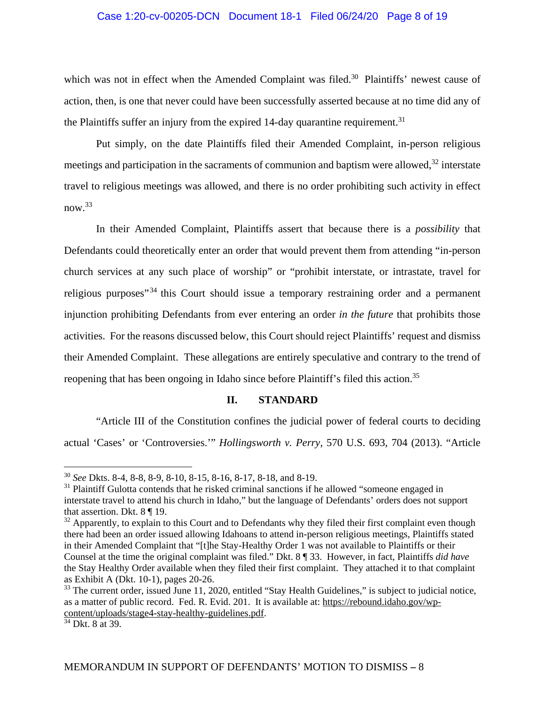### Case 1:20-cv-00205-DCN Document 18-1 Filed 06/24/20 Page 8 of 19

which was not in effect when the Amended Complaint was filed.<sup>30</sup> Plaintiffs' newest cause of action, then, is one that never could have been successfully asserted because at no time did any of the Plaintiffs suffer an injury from the expired 14-day quarantine requirement.<sup>31</sup>

Put simply, on the date Plaintiffs filed their Amended Complaint, in-person religious meetings and participation in the sacraments of communion and baptism were allowed, $32$  interstate travel to religious meetings was allowed, and there is no order prohibiting such activity in effect  $now<sup>33</sup>$ 

 In their Amended Complaint, Plaintiffs assert that because there is a *possibility* that Defendants could theoretically enter an order that would prevent them from attending "in-person church services at any such place of worship" or "prohibit interstate, or intrastate, travel for religious purposes<sup>"34</sup> this Court should issue a temporary restraining order and a permanent injunction prohibiting Defendants from ever entering an order *in the future* that prohibits those activities. For the reasons discussed below, this Court should reject Plaintiffs' request and dismiss their Amended Complaint. These allegations are entirely speculative and contrary to the trend of reopening that has been ongoing in Idaho since before Plaintiff's filed this action.<sup>35</sup>

### **II. STANDARD**

"Article III of the Constitution confines the judicial power of federal courts to deciding actual 'Cases' or 'Controversies.'" *Hollingsworth v. Perry*, 570 U.S. 693, 704 (2013). "Article

<sup>30</sup> *See* Dkts. 8-4, 8-8, 8-9, 8-10, 8-15, 8-16, 8-17, 8-18, and 8-19.

 $31$  Plaintiff Gulotta contends that he risked criminal sanctions if he allowed "someone engaged in interstate travel to attend his church in Idaho," but the language of Defendants' orders does not support that assertion. Dkt. 8 ¶ 19.

<sup>&</sup>lt;sup>32</sup> Apparently, to explain to this Court and to Defendants why they filed their first complaint even though there had been an order issued allowing Idahoans to attend in-person religious meetings, Plaintiffs stated in their Amended Complaint that "[t]he Stay-Healthy Order 1 was not available to Plaintiffs or their Counsel at the time the original complaint was filed." Dkt. 8 ¶ 33. However, in fact, Plaintiffs *did have* the Stay Healthy Order available when they filed their first complaint. They attached it to that complaint as Exhibit A (Dkt. 10-1), pages 20-26.

<sup>&</sup>lt;sup>33</sup> The current order, issued June 11, 2020, entitled "Stay Health Guidelines," is subject to judicial notice, as a matter of public record. Fed. R. Evid. 201. It is available at: https://rebound.idaho.gov/wpcontent/uploads/stage4-stay-healthy-guidelines.pdf.

 $34$  Dkt. 8 at 39.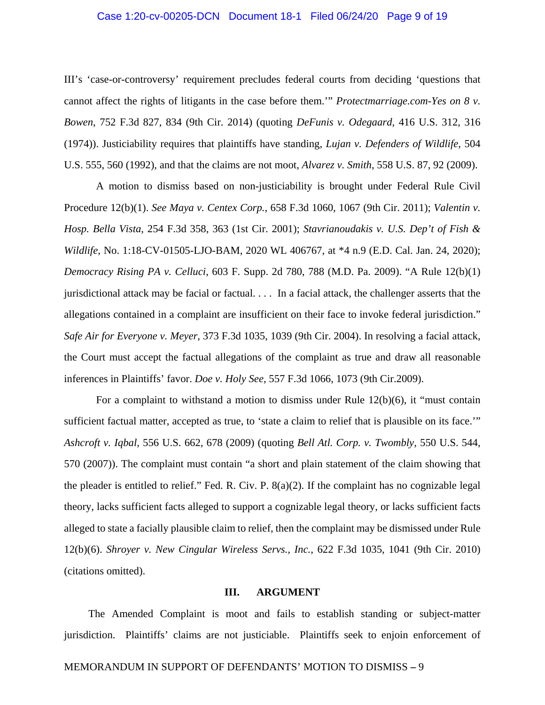### Case 1:20-cv-00205-DCN Document 18-1 Filed 06/24/20 Page 9 of 19

III's 'case-or-controversy' requirement precludes federal courts from deciding 'questions that cannot affect the rights of litigants in the case before them.'" *Protectmarriage.com-Yes on 8 v. Bowen*, 752 F.3d 827, 834 (9th Cir. 2014) (quoting *DeFunis v. Odegaard*, 416 U.S. 312, 316 (1974)). Justiciability requires that plaintiffs have standing, *Lujan v. Defenders of Wildlife*, 504 U.S. 555, 560 (1992), and that the claims are not moot, *Alvarez v. Smith*, 558 U.S. 87, 92 (2009).

A motion to dismiss based on non-justiciability is brought under Federal Rule Civil Procedure 12(b)(1). *See Maya v. Centex Corp.*, 658 F.3d 1060, 1067 (9th Cir. 2011); *Valentin v. Hosp. Bella Vista*, 254 F.3d 358, 363 (1st Cir. 2001); *Stavrianoudakis v. U.S. Dep't of Fish & Wildlife*, No. 1:18-CV-01505-LJO-BAM, 2020 WL 406767, at \*4 n.9 (E.D. Cal. Jan. 24, 2020); *Democracy Rising PA v. Celluci*, 603 F. Supp. 2d 780, 788 (M.D. Pa. 2009). "A Rule 12(b)(1) jurisdictional attack may be facial or factual. . . . In a facial attack, the challenger asserts that the allegations contained in a complaint are insufficient on their face to invoke federal jurisdiction." *Safe Air for Everyone v. Meyer*, 373 F.3d 1035, 1039 (9th Cir. 2004). In resolving a facial attack, the Court must accept the factual allegations of the complaint as true and draw all reasonable inferences in Plaintiffs' favor. *Doe v. Holy See*, 557 F.3d 1066, 1073 (9th Cir.2009).

For a complaint to withstand a motion to dismiss under Rule 12(b)(6), it "must contain sufficient factual matter, accepted as true, to 'state a claim to relief that is plausible on its face.'" *Ashcroft v. Iqbal*, 556 U.S. 662, 678 (2009) (quoting *Bell Atl. Corp. v. Twombly*, 550 U.S. 544, 570 (2007)). The complaint must contain "a short and plain statement of the claim showing that the pleader is entitled to relief." Fed. R. Civ. P.  $8(a)(2)$ . If the complaint has no cognizable legal theory, lacks sufficient facts alleged to support a cognizable legal theory, or lacks sufficient facts alleged to state a facially plausible claim to relief, then the complaint may be dismissed under Rule 12(b)(6). *Shroyer v. New Cingular Wireless Servs., Inc.*, 622 F.3d 1035, 1041 (9th Cir. 2010) (citations omitted).

#### **III. ARGUMENT**

The Amended Complaint is moot and fails to establish standing or subject-matter jurisdiction. Plaintiffs' claims are not justiciable. Plaintiffs seek to enjoin enforcement of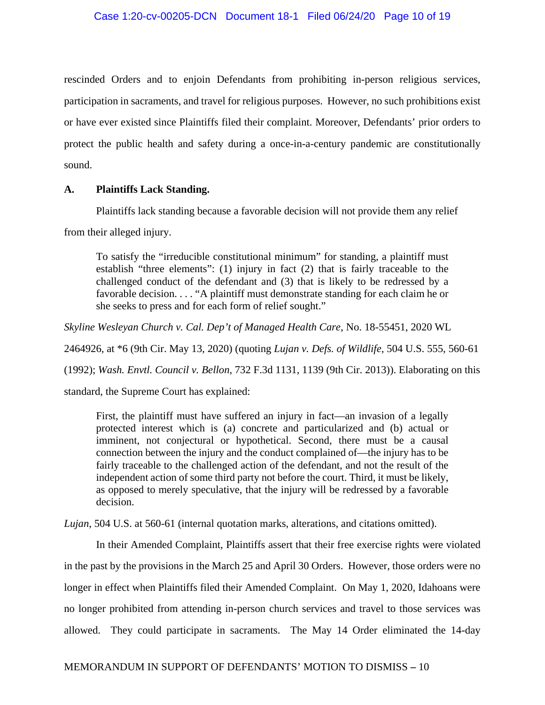rescinded Orders and to enjoin Defendants from prohibiting in-person religious services, participation in sacraments, and travel for religious purposes. However, no such prohibitions exist or have ever existed since Plaintiffs filed their complaint. Moreover, Defendants' prior orders to protect the public health and safety during a once-in-a-century pandemic are constitutionally sound.

# **A. Plaintiffs Lack Standing.**

Plaintiffs lack standing because a favorable decision will not provide them any relief

from their alleged injury.

To satisfy the "irreducible constitutional minimum" for standing, a plaintiff must establish "three elements": (1) injury in fact (2) that is fairly traceable to the challenged conduct of the defendant and (3) that is likely to be redressed by a favorable decision. . . . "A plaintiff must demonstrate standing for each claim he or she seeks to press and for each form of relief sought."

*Skyline Wesleyan Church v. Cal. Dep't of Managed Health Care*, No. 18-55451, 2020 WL

2464926, at \*6 (9th Cir. May 13, 2020) (quoting *Lujan v. Defs. of Wildlife*, 504 U.S. 555, 560-61

(1992); *Wash. Envtl. Council v. Bellon*, 732 F.3d 1131, 1139 (9th Cir. 2013)). Elaborating on this

standard, the Supreme Court has explained:

First, the plaintiff must have suffered an injury in fact—an invasion of a legally protected interest which is (a) concrete and particularized and (b) actual or imminent, not conjectural or hypothetical. Second, there must be a causal connection between the injury and the conduct complained of—the injury has to be fairly traceable to the challenged action of the defendant, and not the result of the independent action of some third party not before the court. Third, it must be likely, as opposed to merely speculative, that the injury will be redressed by a favorable decision.

*Lujan*, 504 U.S. at 560-61 (internal quotation marks, alterations, and citations omitted).

In their Amended Complaint, Plaintiffs assert that their free exercise rights were violated in the past by the provisions in the March 25 and April 30 Orders. However, those orders were no longer in effect when Plaintiffs filed their Amended Complaint. On May 1, 2020, Idahoans were no longer prohibited from attending in-person church services and travel to those services was allowed. They could participate in sacraments. The May 14 Order eliminated the 14-day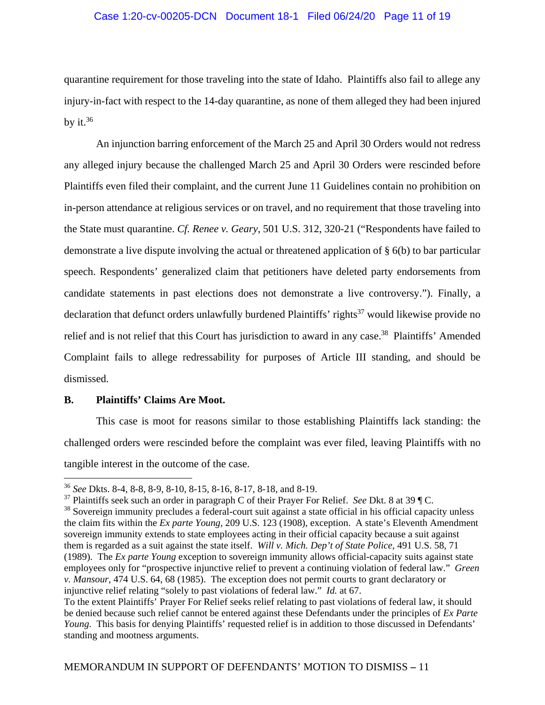## Case 1:20-cv-00205-DCN Document 18-1 Filed 06/24/20 Page 11 of 19

quarantine requirement for those traveling into the state of Idaho. Plaintiffs also fail to allege any injury-in-fact with respect to the 14-day quarantine, as none of them alleged they had been injured by it. $36$ 

An injunction barring enforcement of the March 25 and April 30 Orders would not redress any alleged injury because the challenged March 25 and April 30 Orders were rescinded before Plaintiffs even filed their complaint, and the current June 11 Guidelines contain no prohibition on in-person attendance at religious services or on travel, and no requirement that those traveling into the State must quarantine. *Cf. Renee v. Geary*, 501 U.S. 312, 320-21 ("Respondents have failed to demonstrate a live dispute involving the actual or threatened application of § 6(b) to bar particular speech. Respondents' generalized claim that petitioners have deleted party endorsements from candidate statements in past elections does not demonstrate a live controversy."). Finally, a declaration that defunct orders unlawfully burdened Plaintiffs' rights<sup>37</sup> would likewise provide no relief and is not relief that this Court has jurisdiction to award in any case.<sup>38</sup> Plaintiffs' Amended Complaint fails to allege redressability for purposes of Article III standing, and should be dismissed.

### **B. Plaintiffs' Claims Are Moot.**

 $\overline{a}$ 

This case is moot for reasons similar to those establishing Plaintiffs lack standing: the challenged orders were rescinded before the complaint was ever filed, leaving Plaintiffs with no tangible interest in the outcome of the case.

<sup>36</sup> *See* Dkts. 8-4, 8-8, 8-9, 8-10, 8-15, 8-16, 8-17, 8-18, and 8-19.

<sup>37</sup> Plaintiffs seek such an order in paragraph C of their Prayer For Relief. *See* Dkt. 8 at 39 ¶ C.

<sup>&</sup>lt;sup>38</sup> Sovereign immunity precludes a federal-court suit against a state official in his official capacity unless the claim fits within the *Ex parte Young,* 209 U.S. 123 (1908), exception. A state's Eleventh Amendment sovereign immunity extends to state employees acting in their official capacity because a suit against them is regarded as a suit against the state itself. *Will v. Mich. Dep't of State Police*, 491 U.S. 58, 71 (1989). The *Ex parte Young* exception to sovereign immunity allows official-capacity suits against state employees only for "prospective injunctive relief to prevent a continuing violation of federal law." *Green v. Mansour*, 474 U.S. 64, 68 (1985). The exception does not permit courts to grant declaratory or injunctive relief relating "solely to past violations of federal law." *Id.* at 67.

To the extent Plaintiffs' Prayer For Relief seeks relief relating to past violations of federal law, it should be denied because such relief cannot be entered against these Defendants under the principles of *Ex Parte Young*. This basis for denying Plaintiffs' requested relief is in addition to those discussed in Defendants' standing and mootness arguments.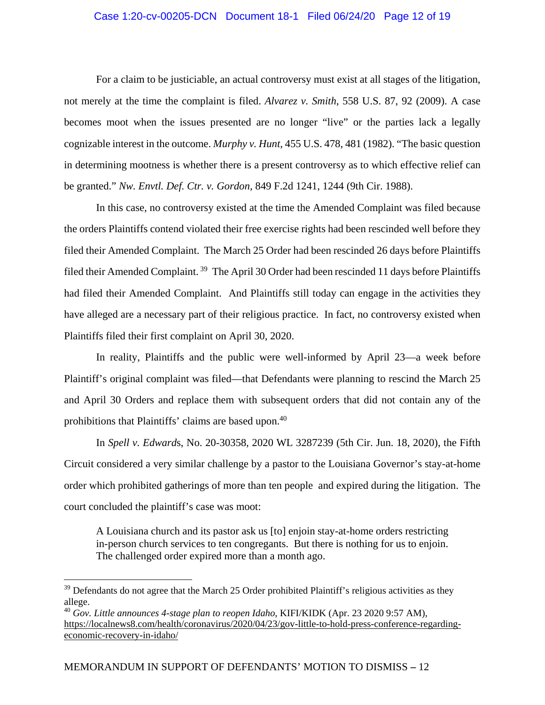## Case 1:20-cv-00205-DCN Document 18-1 Filed 06/24/20 Page 12 of 19

For a claim to be justiciable, an actual controversy must exist at all stages of the litigation, not merely at the time the complaint is filed. *Alvarez v. Smith*, 558 U.S. 87, 92 (2009). A case becomes moot when the issues presented are no longer "live" or the parties lack a legally cognizable interest in the outcome. *Murphy v. Hunt*, 455 U.S. 478, 481 (1982). "The basic question in determining mootness is whether there is a present controversy as to which effective relief can be granted." *Nw. Envtl. Def. Ctr. v. Gordon*, 849 F.2d 1241, 1244 (9th Cir. 1988).

In this case, no controversy existed at the time the Amended Complaint was filed because the orders Plaintiffs contend violated their free exercise rights had been rescinded well before they filed their Amended Complaint. The March 25 Order had been rescinded 26 days before Plaintiffs filed their Amended Complaint. 39 The April 30 Order had been rescinded 11 days before Plaintiffs had filed their Amended Complaint. And Plaintiffs still today can engage in the activities they have alleged are a necessary part of their religious practice. In fact, no controversy existed when Plaintiffs filed their first complaint on April 30, 2020.

In reality, Plaintiffs and the public were well-informed by April 23—a week before Plaintiff's original complaint was filed—that Defendants were planning to rescind the March 25 and April 30 Orders and replace them with subsequent orders that did not contain any of the prohibitions that Plaintiffs' claims are based upon.<sup>40</sup>

In *Spell v. Edward*s, No. 20-30358, 2020 WL 3287239 (5th Cir. Jun. 18, 2020), the Fifth Circuit considered a very similar challenge by a pastor to the Louisiana Governor's stay-at-home order which prohibited gatherings of more than ten people and expired during the litigation. The court concluded the plaintiff's case was moot:

A Louisiana church and its pastor ask us [to] enjoin stay-at-home orders restricting in-person church services to ten congregants. But there is nothing for us to enjoin. The challenged order expired more than a month ago.

 $39$  Defendants do not agree that the March 25 Order prohibited Plaintiff's religious activities as they allege.

<sup>40</sup> *Gov. Little announces 4-stage plan to reopen Idaho*, KIFI/KIDK (Apr. 23 2020 9:57 AM), https://localnews8.com/health/coronavirus/2020/04/23/gov-little-to-hold-press-conference-regardingeconomic-recovery-in-idaho/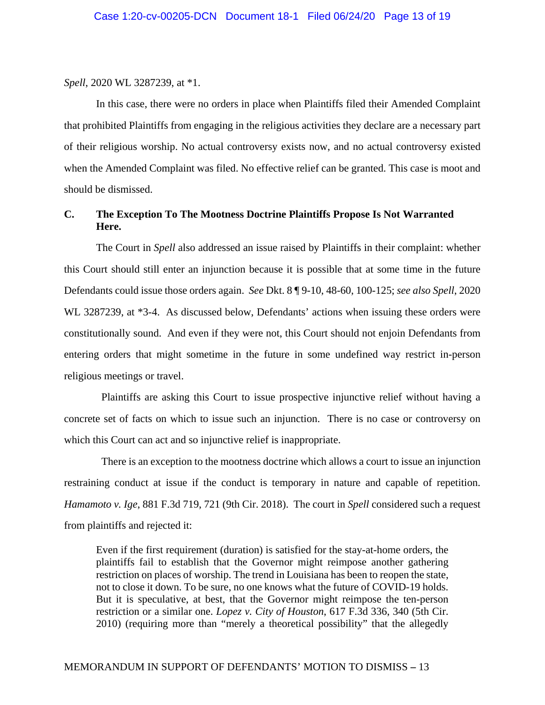*Spell*, 2020 WL 3287239, at \*1.

In this case, there were no orders in place when Plaintiffs filed their Amended Complaint that prohibited Plaintiffs from engaging in the religious activities they declare are a necessary part of their religious worship. No actual controversy exists now, and no actual controversy existed when the Amended Complaint was filed. No effective relief can be granted. This case is moot and should be dismissed.

# **C. The Exception To The Mootness Doctrine Plaintiffs Propose Is Not Warranted Here.**

The Court in *Spell* also addressed an issue raised by Plaintiffs in their complaint: whether this Court should still enter an injunction because it is possible that at some time in the future Defendants could issue those orders again. *See* Dkt. 8 ¶ 9-10, 48-60, 100-125; *see also Spell*, 2020 WL 3287239, at \*3-4. As discussed below, Defendants' actions when issuing these orders were constitutionally sound. And even if they were not, this Court should not enjoin Defendants from entering orders that might sometime in the future in some undefined way restrict in-person religious meetings or travel.

 Plaintiffs are asking this Court to issue prospective injunctive relief without having a concrete set of facts on which to issue such an injunction. There is no case or controversy on which this Court can act and so injunctive relief is inappropriate.

 There is an exception to the mootness doctrine which allows a court to issue an injunction restraining conduct at issue if the conduct is temporary in nature and capable of repetition. *Hamamoto v. Ige*, 881 F.3d 719, 721 (9th Cir. 2018). The court in *Spell* considered such a request from plaintiffs and rejected it:

Even if the first requirement (duration) is satisfied for the stay-at-home orders, the plaintiffs fail to establish that the Governor might reimpose another gathering restriction on places of worship. The trend in Louisiana has been to reopen the state, not to close it down. To be sure, no one knows what the future of COVID-19 holds. But it is speculative, at best, that the Governor might reimpose the ten-person restriction or a similar one. *Lopez v. City of Houston*, 617 F.3d 336, 340 (5th Cir. 2010) (requiring more than "merely a theoretical possibility" that the allegedly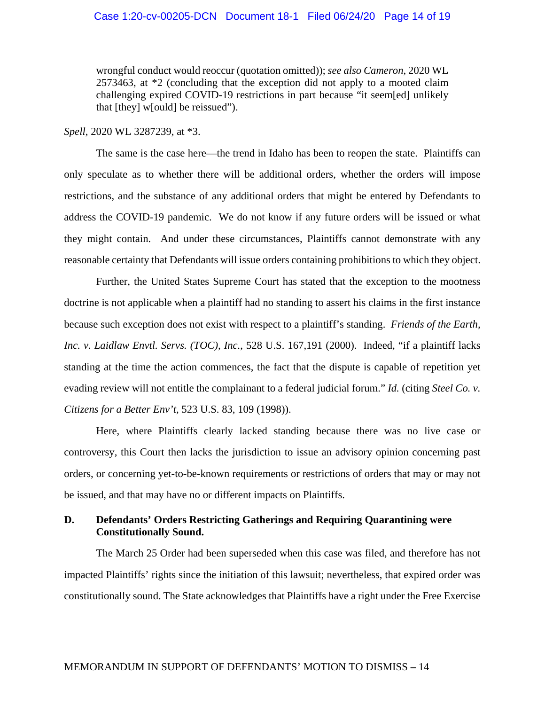## Case 1:20-cv-00205-DCN Document 18-1 Filed 06/24/20 Page 14 of 19

wrongful conduct would reoccur (quotation omitted)); *see also Cameron*, 2020 WL 2573463, at \*2 (concluding that the exception did not apply to a mooted claim challenging expired COVID-19 restrictions in part because "it seem[ed] unlikely that [they] w[ould] be reissued").

*Spell*, 2020 WL 3287239, at \*3.

The same is the case here—the trend in Idaho has been to reopen the state. Plaintiffs can only speculate as to whether there will be additional orders, whether the orders will impose restrictions, and the substance of any additional orders that might be entered by Defendants to address the COVID-19 pandemic. We do not know if any future orders will be issued or what they might contain. And under these circumstances, Plaintiffs cannot demonstrate with any reasonable certainty that Defendants will issue orders containing prohibitions to which they object.

Further, the United States Supreme Court has stated that the exception to the mootness doctrine is not applicable when a plaintiff had no standing to assert his claims in the first instance because such exception does not exist with respect to a plaintiff's standing. *Friends of the Earth, Inc. v. Laidlaw Envtl. Servs. (TOC), Inc.*, 528 U.S. 167,191 (2000). Indeed, "if a plaintiff lacks standing at the time the action commences, the fact that the dispute is capable of repetition yet evading review will not entitle the complainant to a federal judicial forum." *Id.* (citing *Steel Co. v. Citizens for a Better Env't*, 523 U.S. 83, 109 (1998)).

Here, where Plaintiffs clearly lacked standing because there was no live case or controversy, this Court then lacks the jurisdiction to issue an advisory opinion concerning past orders, or concerning yet-to-be-known requirements or restrictions of orders that may or may not be issued, and that may have no or different impacts on Plaintiffs.

# **D. Defendants' Orders Restricting Gatherings and Requiring Quarantining were Constitutionally Sound.**

The March 25 Order had been superseded when this case was filed, and therefore has not impacted Plaintiffs' rights since the initiation of this lawsuit; nevertheless, that expired order was constitutionally sound. The State acknowledges that Plaintiffs have a right under the Free Exercise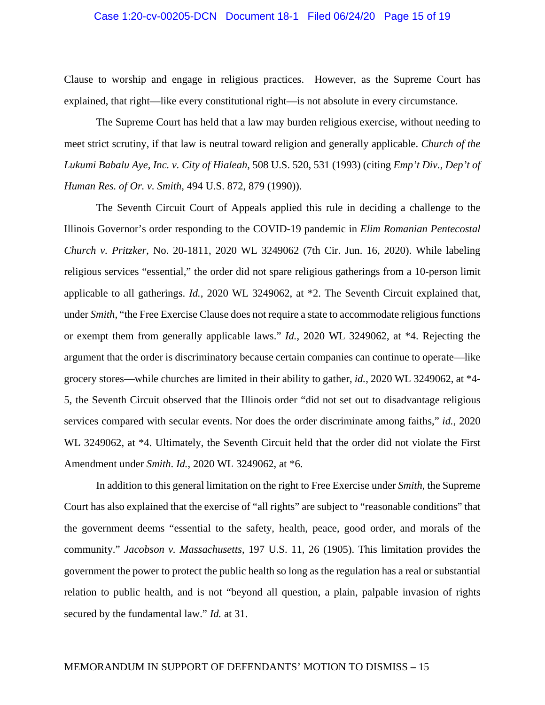#### Case 1:20-cv-00205-DCN Document 18-1 Filed 06/24/20 Page 15 of 19

Clause to worship and engage in religious practices. However, as the Supreme Court has explained, that right—like every constitutional right—is not absolute in every circumstance.

The Supreme Court has held that a law may burden religious exercise, without needing to meet strict scrutiny, if that law is neutral toward religion and generally applicable. *Church of the Lukumi Babalu Aye, Inc. v. City of Hialeah*, 508 U.S. 520, 531 (1993) (citing *Emp't Div., Dep't of Human Res. of Or. v. Smith*, 494 U.S. 872, 879 (1990)).

The Seventh Circuit Court of Appeals applied this rule in deciding a challenge to the Illinois Governor's order responding to the COVID-19 pandemic in *Elim Romanian Pentecostal Church v. Pritzker*, No. 20-1811, 2020 WL 3249062 (7th Cir. Jun. 16, 2020). While labeling religious services "essential," the order did not spare religious gatherings from a 10-person limit applicable to all gatherings. *Id.*, 2020 WL 3249062, at \*2. The Seventh Circuit explained that, under *Smith*, "the Free Exercise Clause does not require a state to accommodate religious functions or exempt them from generally applicable laws." *Id.*, 2020 WL 3249062, at \*4. Rejecting the argument that the order is discriminatory because certain companies can continue to operate—like grocery stores—while churches are limited in their ability to gather, *id.*, 2020 WL 3249062, at \*4- 5, the Seventh Circuit observed that the Illinois order "did not set out to disadvantage religious services compared with secular events. Nor does the order discriminate among faiths," *id.*, 2020 WL 3249062, at  $*4$ . Ultimately, the Seventh Circuit held that the order did not violate the First Amendment under *Smith*. *Id.*, 2020 WL 3249062, at \*6.

In addition to this general limitation on the right to Free Exercise under *Smith*, the Supreme Court has also explained that the exercise of "all rights" are subject to "reasonable conditions" that the government deems "essential to the safety, health, peace, good order, and morals of the community." *Jacobson v. Massachusetts*, 197 U.S. 11, 26 (1905). This limitation provides the government the power to protect the public health so long as the regulation has a real or substantial relation to public health, and is not "beyond all question, a plain, palpable invasion of rights secured by the fundamental law." *Id.* at 31.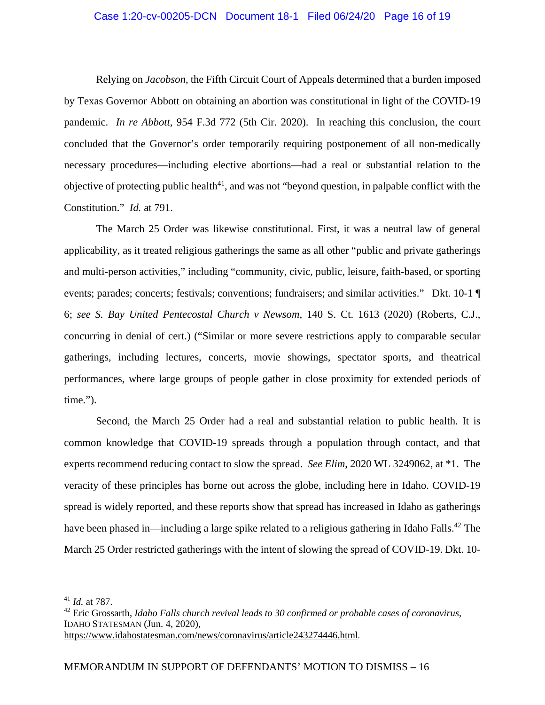## Case 1:20-cv-00205-DCN Document 18-1 Filed 06/24/20 Page 16 of 19

Relying on *Jacobson*, the Fifth Circuit Court of Appeals determined that a burden imposed by Texas Governor Abbott on obtaining an abortion was constitutional in light of the COVID-19 pandemic. *In re Abbott*, 954 F.3d 772 (5th Cir. 2020). In reaching this conclusion, the court concluded that the Governor's order temporarily requiring postponement of all non-medically necessary procedures—including elective abortions—had a real or substantial relation to the objective of protecting public health<sup>41</sup>, and was not "beyond question, in palpable conflict with the Constitution." *Id.* at 791.

The March 25 Order was likewise constitutional. First, it was a neutral law of general applicability, as it treated religious gatherings the same as all other "public and private gatherings and multi-person activities," including "community, civic, public, leisure, faith-based, or sporting events; parades; concerts; festivals; conventions; fundraisers; and similar activities." Dkt. 10-1 ¶ 6; *see S. Bay United Pentecostal Church v Newsom*, 140 S. Ct. 1613 (2020) (Roberts, C.J., concurring in denial of cert.) ("Similar or more severe restrictions apply to comparable secular gatherings, including lectures, concerts, movie showings, spectator sports, and theatrical performances, where large groups of people gather in close proximity for extended periods of time.").

Second, the March 25 Order had a real and substantial relation to public health. It is common knowledge that COVID-19 spreads through a population through contact, and that experts recommend reducing contact to slow the spread. *See Elim*, 2020 WL 3249062, at \*1. The veracity of these principles has borne out across the globe, including here in Idaho. COVID-19 spread is widely reported, and these reports show that spread has increased in Idaho as gatherings have been phased in—including a large spike related to a religious gathering in Idaho Falls.<sup>42</sup> The March 25 Order restricted gatherings with the intent of slowing the spread of COVID-19. Dkt. 10-

<sup>41</sup> *Id.* at 787.

<sup>42</sup> Eric Grossarth, *Idaho Falls church revival leads to 30 confirmed or probable cases of coronavirus*, IDAHO STATESMAN (Jun. 4, 2020),

https://www.idahostatesman.com/news/coronavirus/article243274446.html.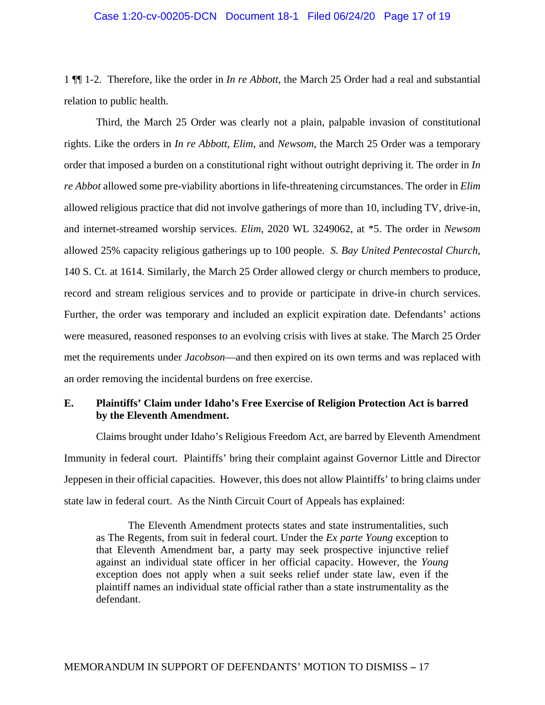#### Case 1:20-cv-00205-DCN Document 18-1 Filed 06/24/20 Page 17 of 19

1 ¶¶ 1-2. Therefore, like the order in *In re Abbott*, the March 25 Order had a real and substantial relation to public health.

Third, the March 25 Order was clearly not a plain, palpable invasion of constitutional rights. Like the orders in *In re Abbott*, *Elim*, and *Newsom*, the March 25 Order was a temporary order that imposed a burden on a constitutional right without outright depriving it. The order in *In re Abbot* allowed some pre-viability abortions in life-threatening circumstances. The order in *Elim* allowed religious practice that did not involve gatherings of more than 10, including TV, drive-in, and internet-streamed worship services. *Elim*, 2020 WL 3249062, at \*5. The order in *Newsom* allowed 25% capacity religious gatherings up to 100 people. *S. Bay United Pentecostal Church*, 140 S. Ct. at 1614. Similarly, the March 25 Order allowed clergy or church members to produce, record and stream religious services and to provide or participate in drive-in church services. Further, the order was temporary and included an explicit expiration date. Defendants' actions were measured, reasoned responses to an evolving crisis with lives at stake. The March 25 Order met the requirements under *Jacobson*—and then expired on its own terms and was replaced with an order removing the incidental burdens on free exercise.

# **E. Plaintiffs' Claim under Idaho's Free Exercise of Religion Protection Act is barred by the Eleventh Amendment.**

Claims brought under Idaho's Religious Freedom Act, are barred by Eleventh Amendment Immunity in federal court. Plaintiffs' bring their complaint against Governor Little and Director Jeppesen in their official capacities. However, this does not allow Plaintiffs' to bring claims under state law in federal court. As the Ninth Circuit Court of Appeals has explained:

The Eleventh Amendment protects states and state instrumentalities, such as The Regents, from suit in federal court. Under the *Ex parte Young* exception to that Eleventh Amendment bar, a party may seek prospective injunctive relief against an individual state officer in her official capacity. However, the *Young* exception does not apply when a suit seeks relief under state law, even if the plaintiff names an individual state official rather than a state instrumentality as the defendant.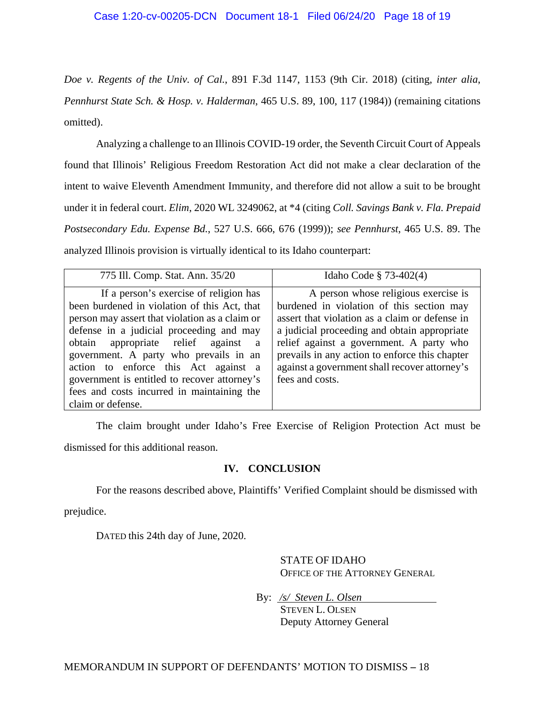*Doe v. Regents of the Univ. of Cal.*, 891 F.3d 1147, 1153 (9th Cir. 2018) (citing, *inter alia*, *Pennhurst State Sch. & Hosp. v. Halderman*, 465 U.S. 89, 100, 117 (1984)) (remaining citations omitted).

Analyzing a challenge to an Illinois COVID-19 order, the Seventh Circuit Court of Appeals found that Illinois' Religious Freedom Restoration Act did not make a clear declaration of the intent to waive Eleventh Amendment Immunity, and therefore did not allow a suit to be brought under it in federal court. *Elim*, 2020 WL 3249062, at \*4 (citing *Coll. Savings Bank v. Fla. Prepaid Postsecondary Edu. Expense Bd.*, 527 U.S. 666, 676 (1999)); *see Pennhurst*, 465 U.S. 89. The analyzed Illinois provision is virtually identical to its Idaho counterpart:

| 775 Ill. Comp. Stat. Ann. 35/20                                                                                                                                                                                                                                                                                                                                                                                                  | Idaho Code § 73-402(4)                                                                                                                                                                                                                                                                                                                                |
|----------------------------------------------------------------------------------------------------------------------------------------------------------------------------------------------------------------------------------------------------------------------------------------------------------------------------------------------------------------------------------------------------------------------------------|-------------------------------------------------------------------------------------------------------------------------------------------------------------------------------------------------------------------------------------------------------------------------------------------------------------------------------------------------------|
| If a person's exercise of religion has<br>been burdened in violation of this Act, that<br>person may assert that violation as a claim or<br>defense in a judicial proceeding and may<br>obtain appropriate relief against a<br>government. A party who prevails in an<br>action to enforce this Act against a<br>government is entitled to recover attorney's<br>fees and costs incurred in maintaining the<br>claim or defense. | A person whose religious exercise is<br>burdened in violation of this section may<br>assert that violation as a claim or defense in<br>a judicial proceeding and obtain appropriate<br>relief against a government. A party who<br>prevails in any action to enforce this chapter<br>against a government shall recover attorney's<br>fees and costs. |

The claim brought under Idaho's Free Exercise of Religion Protection Act must be dismissed for this additional reason.

# **IV. CONCLUSION**

For the reasons described above, Plaintiffs' Verified Complaint should be dismissed with

prejudice.

DATED this 24th day of June, 2020.

STATE OF IDAHO OFFICE OF THE ATTORNEY GENERAL

By: */s/ Steven L. Olsen* 

STEVEN L. OLSEN Deputy Attorney General